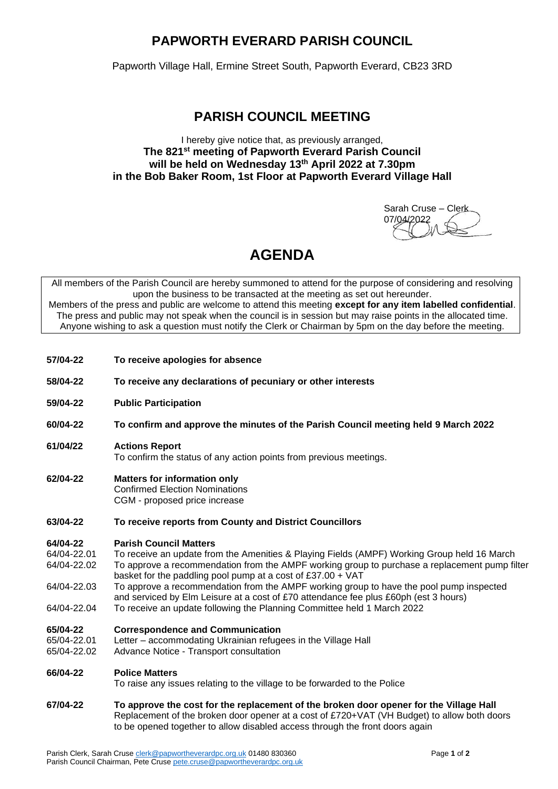### **PAPWORTH EVERARD PARISH COUNCIL**

Papworth Village Hall, Ermine Street South, Papworth Everard, CB23 3RD

### **PARISH COUNCIL MEETING**

#### I hereby give notice that, as previously arranged, **The 821 st meeting of Papworth Everard Parish Council will be held on Wednesday 13th April 2022 at 7.30pm in the Bob Baker Room, 1st Floor at Papworth Everard Village Hall**

Sarah Cruse – Clerk 07/04/2022

## **AGENDA**

All members of the Parish Council are hereby summoned to attend for the purpose of considering and resolving upon the business to be transacted at the meeting as set out hereunder. Members of the press and public are welcome to attend this meeting **except for any item labelled confidential**. The press and public may not speak when the council is in session but may raise points in the allocated time. Anyone wishing to ask a question must notify the Clerk or Chairman by 5pm on the day before the meeting.

- **57/04-22 To receive apologies for absence**
- **58/04-22 To receive any declarations of pecuniary or other interests**
- **59/04-22 Public Participation**
- **60/04-22 To confirm and approve the minutes of the Parish Council meeting held 9 March 2022**
- **61/04/22 Actions Report**

To confirm the status of any action points from previous meetings.

- **62/04-22 Matters for information only** Confirmed Election Nominations CGM - proposed price increase
- **63/04-22 To receive reports from County and District Councillors**

#### **64/04-22 Parish Council Matters**

- 64/04-22.01 To receive an update from the Amenities & Playing Fields (AMPF) Working Group held 16 March 64/04-22.02 To approve a recommendation from the AMPF working group to purchase a replacement pump filter basket for the paddling pool pump at a cost of £37.00 + VAT
- 64/04-22.03 To approve a recommendation from the AMPF working group to have the pool pump inspected and serviced by Elm Leisure at a cost of £70 attendance fee plus £60ph (est 3 hours) 64/04-22.04 To receive an update following the Planning Committee held 1 March 2022
- 

# **65/04-22 Correspondence and Communication**

- Letter accommodating Ukrainian refugees in the Village Hall
- 65/04-22.02 Advance Notice Transport consultation

#### **66/04-22 Police Matters**

To raise any issues relating to the village to be forwarded to the Police

**67/04-22 To approve the cost for the replacement of the broken door opener for the Village Hall**  Replacement of the broken door opener at a cost of £720+VAT (VH Budget) to allow both doors to be opened together to allow disabled access through the front doors again